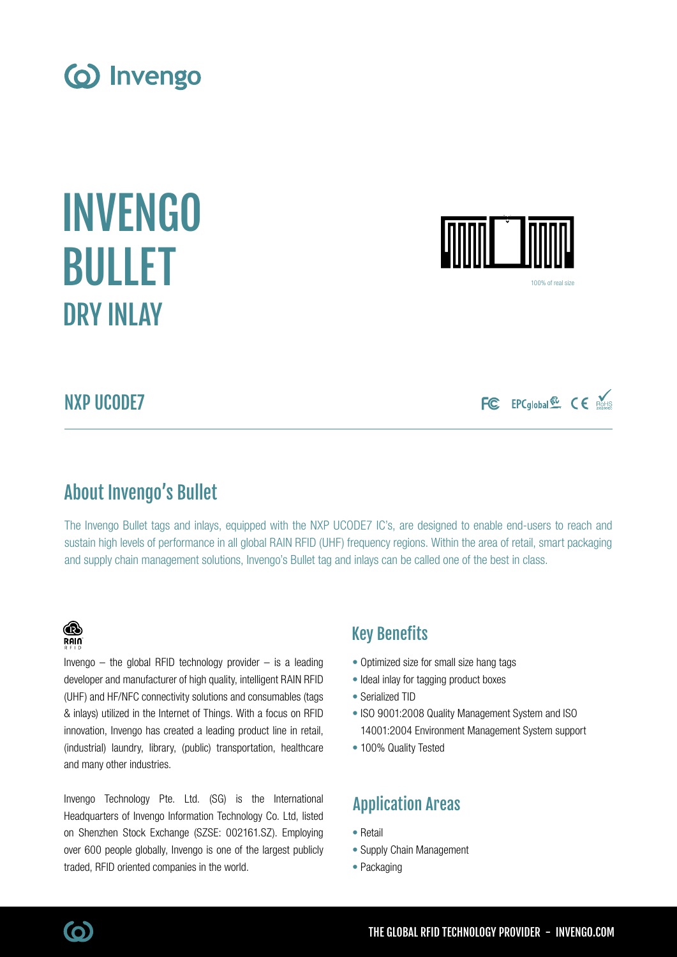NXP UCODE7

The Invengo Bullet tags and inlays, equipped with the NXP UCODE7 IC's, are designed to enable end-users to reach and

# Key Benefits

- Optimized size for small size hang tags
- Ideal inlay for tagging product boxes
- Serialized TID
- ISO 9001:2008 Quality Management System and ISO 14001:2004 Environment Management System support
- 100% Quality Tested

# Application Areas

- Retail
- Supply Chain Management
- Packaging

# About Invengo's Bullet

sustain high levels of performance in all global RAIN RFID (UHF) frequency regions. Within the area of retail, smart packaging and supply chain management solutions, Invengo's Bullet tag and inlays can be called one of the best in class.

# (o) Invengo

INVENGO

BULLET

DRY INLAY



100% of real siz

FC EPCglobal & CE



Invengo  $-$  the global RFID technology provider  $-$  is a leading developer and manufacturer of high quality, intelligent RAIN RFID (UHF) and HF/NFC connectivity solutions and consumables (tags & inlays) utilized in the Internet of Things. With a focus on RFID innovation, Invengo has created a leading product line in retail, (industrial) laundry, library, (public) transportation, healthcare and many other industries.

Invengo Technology Pte. Ltd. (SG) is the International Headquarters of Invengo Information Technology Co. Ltd, listed on Shenzhen Stock Exchange (SZSE: 002161.SZ). Employing over 600 people globally, Invengo is one of the largest publicly traded, RFID oriented companies in the world.